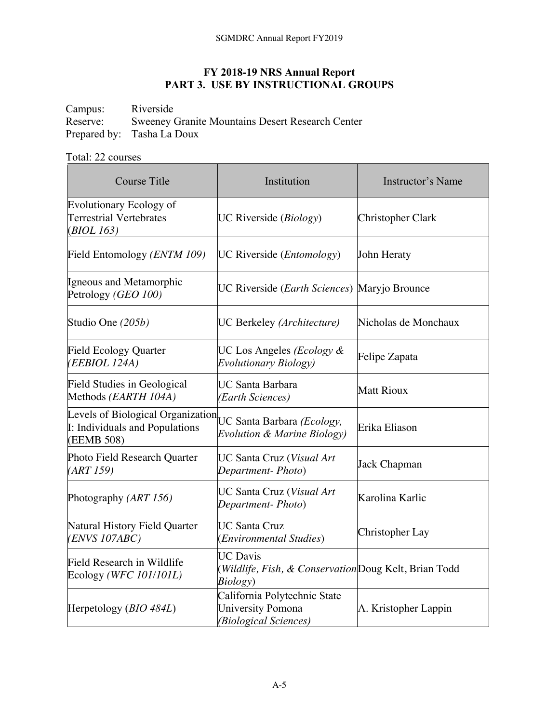## **FY 2018-19 NRS Annual Report PART 3. USE BY INSTRUCTIONAL GROUPS**

Campus: Riverside<br>Reserve: Sweeney 0 Sweeney Granite Mountains Desert Research Center Prepared by: Tasha La Doux

## Total: 22 courses

| <b>Course Title</b>                                                               | Institution                                                                          | Instructor's Name        |
|-----------------------------------------------------------------------------------|--------------------------------------------------------------------------------------|--------------------------|
| <b>Evolutionary Ecology of</b><br><b>Terrestrial Vertebrates</b><br>(BIOL 163)    | UC Riverside $(Biology)$                                                             | <b>Christopher Clark</b> |
| Field Entomology (ENTM 109)                                                       | UC Riverside ( <i>Entomology</i> )                                                   | John Heraty              |
| Igneous and Metamorphic<br>Petrology (GEO 100)                                    | UC Riverside ( <i>Earth Sciences</i> ) Maryjo Brounce                                |                          |
| Studio One (205b)                                                                 | UC Berkeley (Architecture)                                                           | Nicholas de Monchaux     |
| <b>Field Ecology Quarter</b><br>( <i>EEBIOL 124A</i> )                            | UC Los Angeles (Ecology &<br><b>Evolutionary Biology</b> )                           | Felipe Zapata            |
| <b>Field Studies in Geological</b><br>Methods (EARTH 104A)                        | UC Santa Barbara<br>(Earth Sciences)                                                 | <b>Matt Rioux</b>        |
| Levels of Biological Organization<br>I: Individuals and Populations<br>(EEMB 508) | UC Santa Barbara (Ecology,<br>Evolution & Marine Biology)                            | Erika Eliason            |
| Photo Field Research Quarter<br>(ART 159)                                         | UC Santa Cruz (Visual Art<br>Department-Photo)                                       | Jack Chapman             |
| Photography (ART 156)                                                             | UC Santa Cruz (Visual Art<br>Department-Photo)                                       | Karolina Karlic          |
| Natural History Field Quarter<br>(ENVS 107ABC)                                    | <b>UC Santa Cruz</b><br>(Environmental Studies)                                      | Christopher Lay          |
| Field Research in Wildlife<br>Ecology (WFC 101/101L)                              | <b>UC Davis</b><br>(Wildlife, Fish, & Conservation Doug Kelt, Brian Todd<br>Biology) |                          |
| Herpetology (BIO 484L)                                                            | California Polytechnic State<br>University Pomona<br>(Biological Sciences)           | A. Kristopher Lappin     |